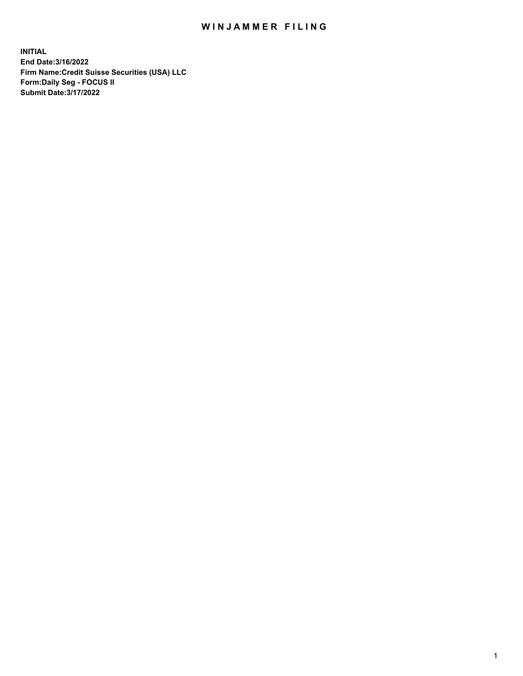## WIN JAMMER FILING

**INITIAL End Date:3/16/2022 Firm Name:Credit Suisse Securities (USA) LLC Form:Daily Seg - FOCUS II Submit Date:3/17/2022**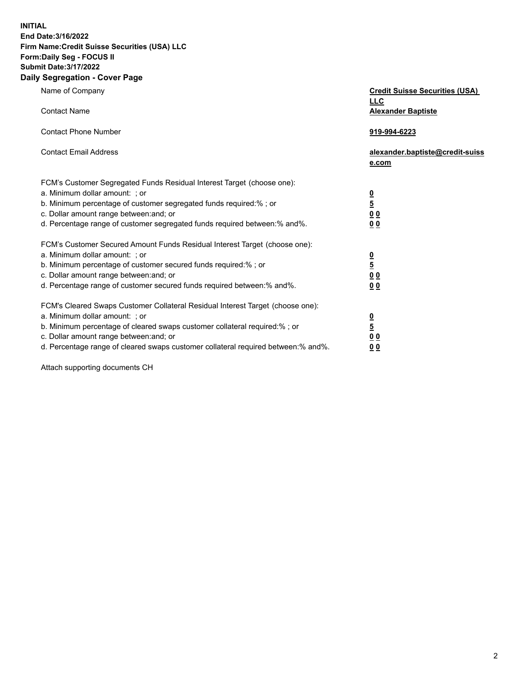**INITIAL End Date:3/16/2022** 

## **Firm Name:Credit Suisse Securities (USA) LLC Form:Daily Seg - FOCUS II Submit Date:3/17/2022**

## **Daily Segregation - Cover Page**

| Name of Company                                                                                                                                                                                                                                                                                                                | <b>Credit Suisse Securities (USA)</b><br><b>LLC</b>                |
|--------------------------------------------------------------------------------------------------------------------------------------------------------------------------------------------------------------------------------------------------------------------------------------------------------------------------------|--------------------------------------------------------------------|
| <b>Contact Name</b>                                                                                                                                                                                                                                                                                                            | <b>Alexander Baptiste</b>                                          |
| <b>Contact Phone Number</b>                                                                                                                                                                                                                                                                                                    | 919-994-6223                                                       |
| <b>Contact Email Address</b>                                                                                                                                                                                                                                                                                                   | alexander.baptiste@credit-suiss<br>e.com                           |
| FCM's Customer Segregated Funds Residual Interest Target (choose one):<br>a. Minimum dollar amount: ; or<br>b. Minimum percentage of customer segregated funds required:% ; or<br>c. Dollar amount range between: and; or<br>d. Percentage range of customer segregated funds required between:% and%.                         | $\frac{0}{\frac{5}{0}}$<br>0 <sub>0</sub>                          |
| FCM's Customer Secured Amount Funds Residual Interest Target (choose one):<br>a. Minimum dollar amount: ; or<br>b. Minimum percentage of customer secured funds required:%; or<br>c. Dollar amount range between: and; or<br>d. Percentage range of customer secured funds required between:% and%.                            | $\frac{0}{5}$<br>$\underline{0}$ $\underline{0}$<br>0 <sub>0</sub> |
| FCM's Cleared Swaps Customer Collateral Residual Interest Target (choose one):<br>a. Minimum dollar amount: ; or<br>b. Minimum percentage of cleared swaps customer collateral required:% ; or<br>c. Dollar amount range between: and; or<br>d. Percentage range of cleared swaps customer collateral required between:% and%. | $\frac{0}{5}$<br>0 <sub>0</sub><br>0 <sub>0</sub>                  |

Attach supporting documents CH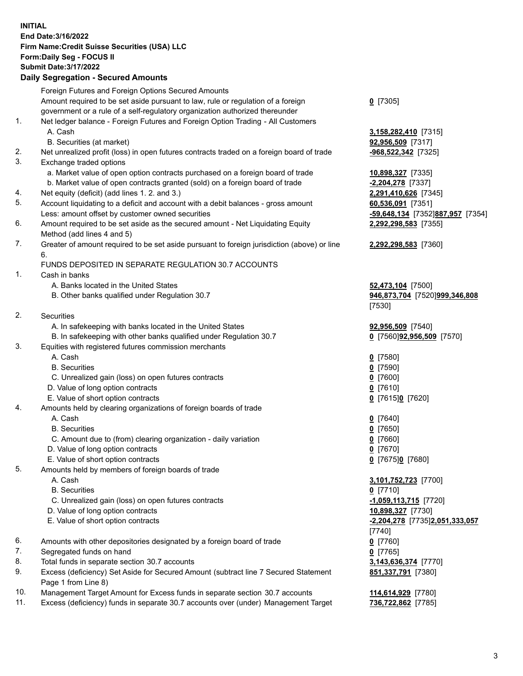**INITIAL End Date:3/16/2022 Firm Name:Credit Suisse Securities (USA) LLC Form:Daily Seg - FOCUS II Submit Date:3/17/2022** 

## **Daily Segregation - Secured Amounts**

|                | Foreign Futures and Foreign Options Secured Amounts                                         |                                  |
|----------------|---------------------------------------------------------------------------------------------|----------------------------------|
|                | Amount required to be set aside pursuant to law, rule or regulation of a foreign            | $0$ [7305]                       |
|                | government or a rule of a self-regulatory organization authorized thereunder                |                                  |
| 1 <sub>1</sub> | Net ledger balance - Foreign Futures and Foreign Option Trading - All Customers             |                                  |
|                | A. Cash                                                                                     | 3,158,282,410 [7315]             |
|                | B. Securities (at market)                                                                   | 92,956,509 [7317]                |
| 2.             | Net unrealized profit (loss) in open futures contracts traded on a foreign board of trade   | -968,522,342 [7325]              |
| 3.             | Exchange traded options                                                                     |                                  |
|                | a. Market value of open option contracts purchased on a foreign board of trade              | 10,898,327 [7335]                |
|                | b. Market value of open contracts granted (sold) on a foreign board of trade                | $-2,204,278$ [7337]              |
| 4.             | Net equity (deficit) (add lines 1. 2. and 3.)                                               | 2,291,410,626 [7345]             |
| 5.             | Account liquidating to a deficit and account with a debit balances - gross amount           | 60,536,091 [7351]                |
|                | Less: amount offset by customer owned securities                                            | -59,648,134 [7352]887,957 [7354] |
| 6.             | Amount required to be set aside as the secured amount - Net Liquidating Equity              | 2,292,298,583 [7355]             |
|                | Method (add lines 4 and 5)                                                                  |                                  |
| 7.             | Greater of amount required to be set aside pursuant to foreign jurisdiction (above) or line | 2,292,298,583 [7360]             |
|                | 6.                                                                                          |                                  |
|                | FUNDS DEPOSITED IN SEPARATE REGULATION 30.7 ACCOUNTS                                        |                                  |
| 1.             | Cash in banks                                                                               |                                  |
|                | A. Banks located in the United States                                                       | 52,473,104 [7500]                |
|                | B. Other banks qualified under Regulation 30.7                                              | 946,873,704 [7520]999,346,808    |
|                |                                                                                             | [7530]                           |
| 2.             | <b>Securities</b>                                                                           |                                  |
|                | A. In safekeeping with banks located in the United States                                   | 92,956,509 [7540]                |
|                | B. In safekeeping with other banks qualified under Regulation 30.7                          | 0 [7560]92,956,509 [7570]        |
| 3.             | Equities with registered futures commission merchants                                       |                                  |
|                | A. Cash                                                                                     | $0$ [7580]                       |
|                | <b>B.</b> Securities                                                                        | $0$ [7590]                       |
|                | C. Unrealized gain (loss) on open futures contracts                                         | $0$ [7600]                       |
|                | D. Value of long option contracts                                                           | $0$ [7610]                       |
|                | E. Value of short option contracts                                                          | 0 [7615]0 [7620]                 |
| 4.             | Amounts held by clearing organizations of foreign boards of trade                           |                                  |
|                | A. Cash                                                                                     | $0$ [7640]                       |
|                | <b>B.</b> Securities                                                                        | $0$ [7650]                       |
|                | C. Amount due to (from) clearing organization - daily variation                             | $0$ [7660]                       |
|                | D. Value of long option contracts                                                           | 0 [7670]                         |
|                | E. Value of short option contracts                                                          | 0 [7675]0 [7680]                 |
| 5.             | Amounts held by members of foreign boards of trade                                          |                                  |
|                | A. Cash                                                                                     | 3,101,752,723 [7700]             |
|                | <b>B.</b> Securities                                                                        | 0 [7710]                         |
|                | C. Unrealized gain (loss) on open futures contracts                                         | $-1,059,113,715$ [7720]          |
|                | D. Value of long option contracts                                                           | 10,898,327 [7730]                |
|                | E. Value of short option contracts                                                          | -2,204,278 [7735]2,051,333,057   |
|                |                                                                                             | $[7740]$                         |
| 6.             | Amounts with other depositories designated by a foreign board of trade                      | $0$ [7760]                       |
| 7.             | Segregated funds on hand                                                                    | $0$ [7765]                       |
| 8.             | Total funds in separate section 30.7 accounts                                               | 3,143,636,374 [7770]             |
| 9.             | Excess (deficiency) Set Aside for Secured Amount (subtract line 7 Secured Statement         | 851,337,791 [7380]               |
|                | Page 1 from Line 8)                                                                         |                                  |
| 10.            | Management Target Amount for Excess funds in separate section 30.7 accounts                 | 114,614,929 [7780]               |
| 11.            | Excess (deficiency) funds in separate 30.7 accounts over (under) Management Target          | 736,722,862 [7785]               |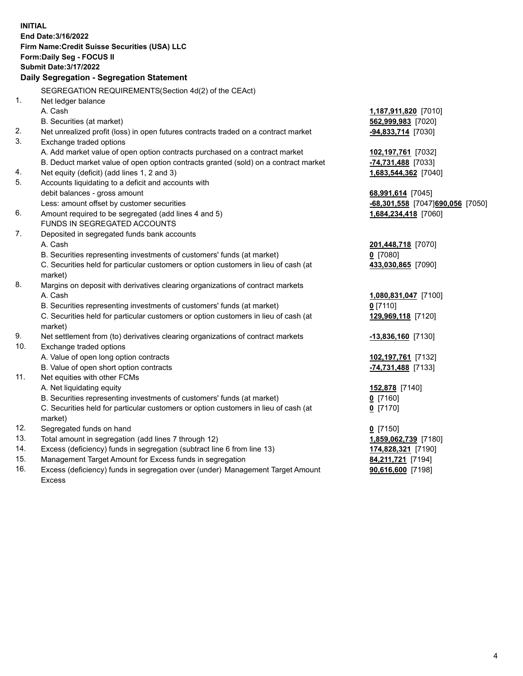15. Management Target Amount for Excess funds in segregation **84,211,721** [7194] 16. Excess (deficiency) funds in segregation over (under) Management Target Amount **90,616,600** [7198] **INITIAL End Date:3/16/2022 Firm Name:Credit Suisse Securities (USA) LLC Form:Daily Seg - FOCUS II Submit Date:3/17/2022 Daily Segregation - Segregation Statement**  SEGREGATION REQUIREMENTS(Section 4d(2) of the CEAct) 1. Net ledger balance A. Cash **1,187,911,820** [7010] B. Securities (at market) **562,999,983** [7020] 2. Net unrealized profit (loss) in open futures contracts traded on a contract market **-94,833,714** [7030] 3. Exchange traded options A. Add market value of open option contracts purchased on a contract market **102,197,761** [7032] B. Deduct market value of open option contracts granted (sold) on a contract market **-74,731,488** [7033] 4. Net equity (deficit) (add lines 1, 2 and 3) **1,683,544,362** [7040] 5. Accounts liquidating to a deficit and accounts with debit balances - gross amount **68,991,614** [7045] Less: amount offset by customer securities **-68,301,558** [7047] **690,056** [7050] 6. Amount required to be segregated (add lines 4 and 5) **1,684,234,418** [7060] FUNDS IN SEGREGATED ACCOUNTS 7. Deposited in segregated funds bank accounts A. Cash **201,448,718** [7070] B. Securities representing investments of customers' funds (at market) **0** [7080] C. Securities held for particular customers or option customers in lieu of cash (at **433,030,865** [7090] market) 8. Margins on deposit with derivatives clearing organizations of contract markets A. Cash **1,080,831,047** [7100] B. Securities representing investments of customers' funds (at market) **0** [7110] C. Securities held for particular customers or option customers in lieu of cash (at **129,969,118** [7120] market) 9. Net settlement from (to) derivatives clearing organizations of contract markets **-13,836,160** [7130] 10. Exchange traded options A. Value of open long option contracts **102,197,761** [7132] B. Value of open short option contracts **-74,731,488** [7133] 11. Net equities with other FCMs A. Net liquidating equity **152,878** [7140] B. Securities representing investments of customers' funds (at market) **0** [7160] C. Securities held for particular customers or option customers in lieu of cash (at **0** [7170] market) 12. Segregated funds on hand **0** [7150] 13. Total amount in segregation (add lines 7 through 12) **1,859,062,739** [7180] 14. Excess (deficiency) funds in segregation (subtract line 6 from line 13) **174,828,321** [7190]

Excess